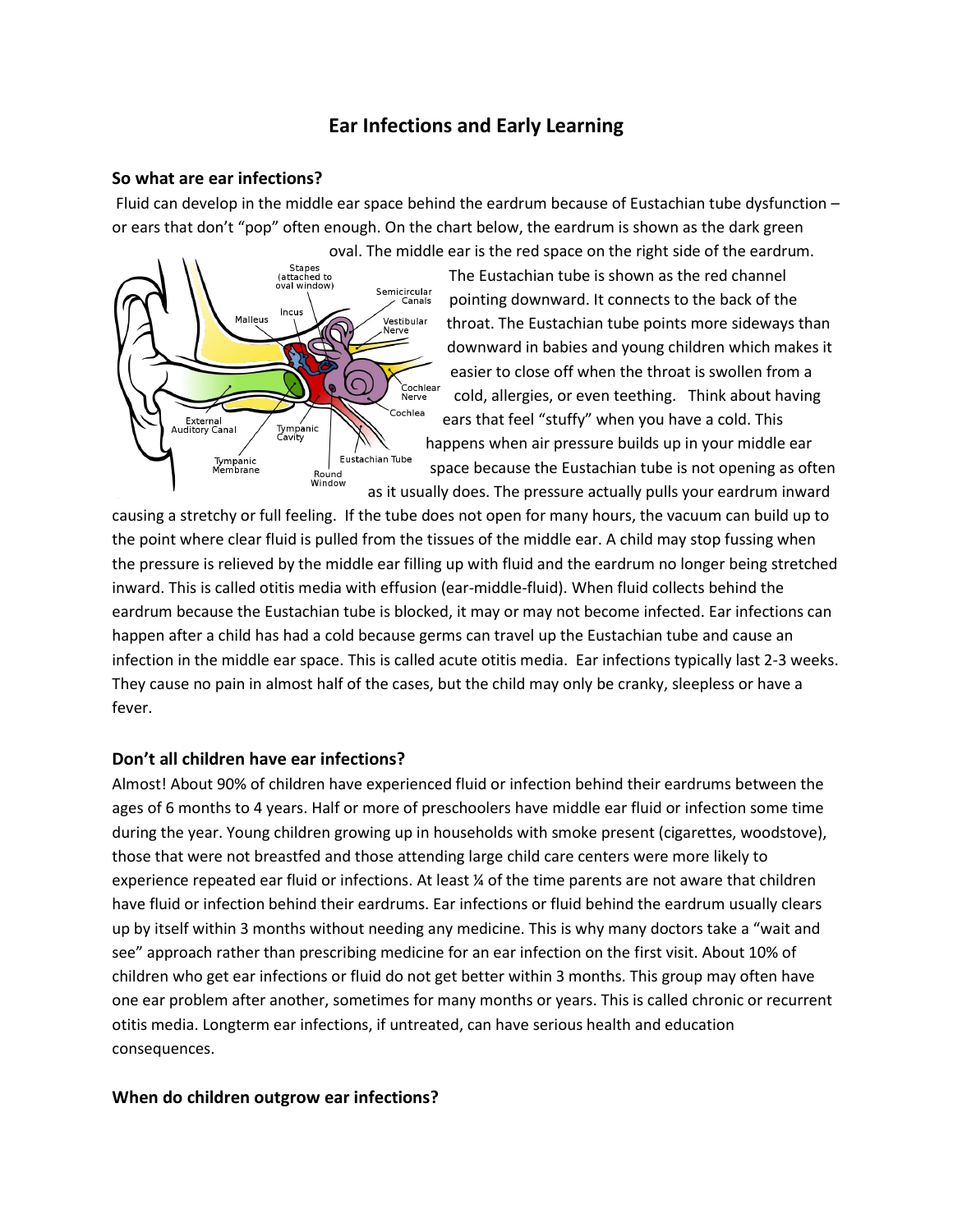# **Ear Infections and Early Learning**

### **So what are ear infections?**

Fluid can develop in the middle ear space behind the eardrum because of Eustachian tube dysfunction – or ears that don't "pop" often enough. On the chart below, the eardrum is shown as the dark green [oval. The middle](http://upload.wikimedia.org/wikipedia/commons/d/d2/Anatomy_of_the_Human_Ear.svg) ear is the red space on the right side of the eardrum.



The Eustachian tube is shown as the red channel pointing downward. It connects to the back of the throat. The Eustachian tube points more sideways than downward in babies and young children which makes it easier to close off when the throat is swollen from a cold, allergies, or even teething. Think about having ears that feel "stuffy" when you have a cold. This happens when air pressure builds up in your middle ear space because the Eustachian tube is not opening as often as it usually does. The pressure actually pulls your eardrum inward

causing a stretchy or full feeling. If the tube does not open for many hours, the vacuum can build up to the point where clear fluid is pulled from the tissues of the middle ear. A child may stop fussing when the pressure is relieved by the middle ear filling up with fluid and the eardrum no longer being stretched inward. This is called otitis media with effusion (ear-middle-fluid). When fluid collects behind the eardrum because the Eustachian tube is blocked, it may or may not become infected. Ear infections can happen after a child has had a cold because germs can travel up the Eustachian tube and cause an infection in the middle ear space. This is called acute otitis media. Ear infections typically last 2-3 weeks. They cause no pain in almost half of the cases, but the child may only be cranky, sleepless or have a fever.

### **Don't all children have ear infections?**

Almost! About 90% of children have experienced fluid or infection behind their eardrums between the ages of 6 months to 4 years. Half or more of preschoolers have middle ear fluid or infection some time during the year. Young children growing up in households with smoke present (cigarettes, woodstove), those that were not breastfed and those attending large child care centers were more likely to experience repeated ear fluid or infections. At least ¼ of the time parents are not aware that children have fluid or infection behind their eardrums. Ear infections or fluid behind the eardrum usually clears up by itself within 3 months without needing any medicine. This is why many doctors take a "wait and see" approach rather than prescribing medicine for an ear infection on the first visit. About 10% of children who get ear infections or fluid do not get better within 3 months. This group may often have one ear problem after another, sometimes for many months or years. This is called chronic or recurrent otitis media. Longterm ear infections, if untreated, can have serious health and education consequences.

#### **When do children outgrow ear infections?**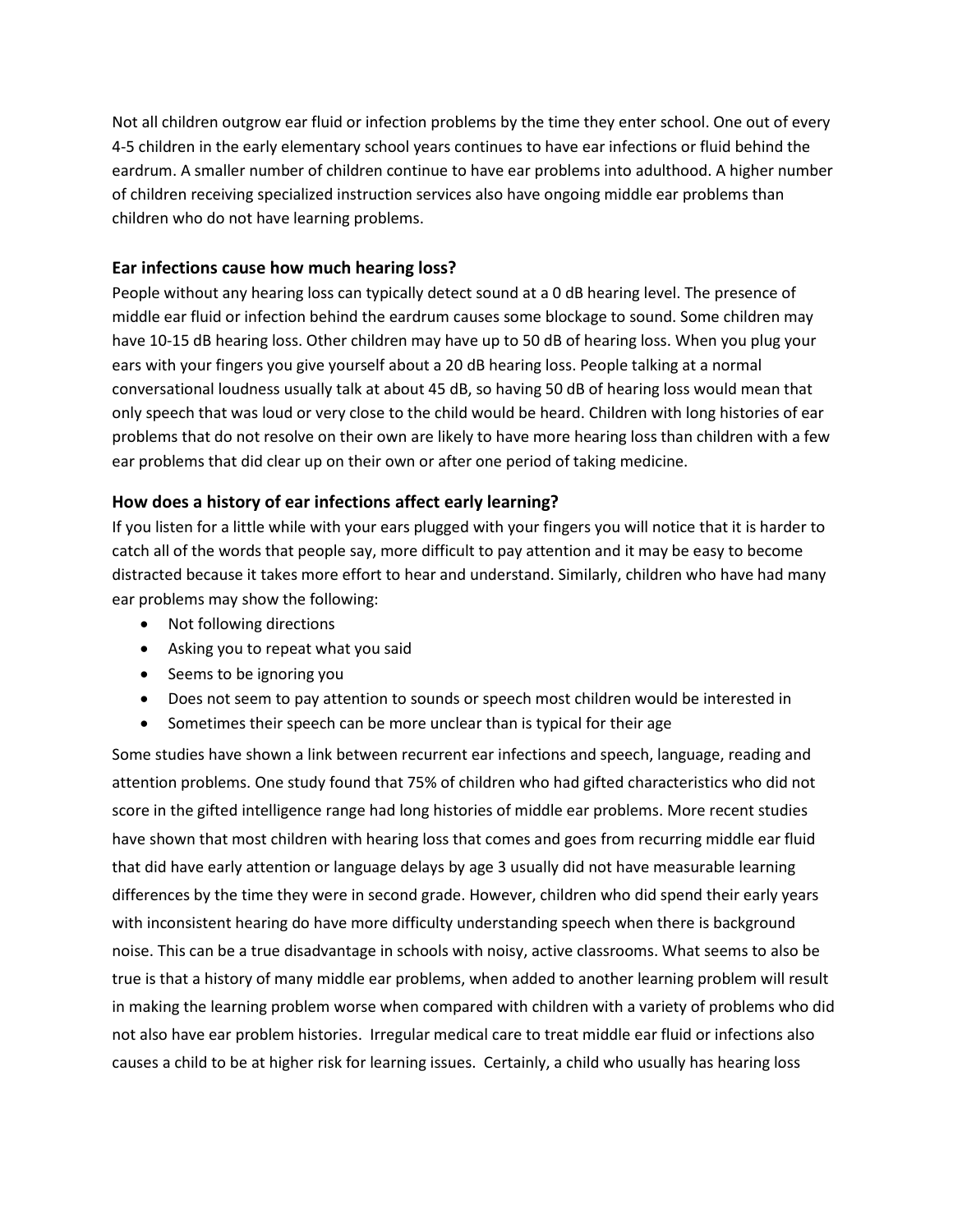Not all children outgrow ear fluid or infection problems by the time they enter school. One out of every 4-5 children in the early elementary school years continues to have ear infections or fluid behind the eardrum. A smaller number of children continue to have ear problems into adulthood. A higher number of children receiving specialized instruction services also have ongoing middle ear problems than children who do not have learning problems.

### **Ear infections cause how much hearing loss?**

People without any hearing loss can typically detect sound at a 0 dB hearing level. The presence of middle ear fluid or infection behind the eardrum causes some blockage to sound. Some children may have 10-15 dB hearing loss. Other children may have up to 50 dB of hearing loss. When you plug your ears with your fingers you give yourself about a 20 dB hearing loss. People talking at a normal conversational loudness usually talk at about 45 dB, so having 50 dB of hearing loss would mean that only speech that was loud or very close to the child would be heard. Children with long histories of ear problems that do not resolve on their own are likely to have more hearing loss than children with a few ear problems that did clear up on their own or after one period of taking medicine.

### **How does a history of ear infections affect early learning?**

If you listen for a little while with your ears plugged with your fingers you will notice that it is harder to catch all of the words that people say, more difficult to pay attention and it may be easy to become distracted because it takes more effort to hear and understand. Similarly, children who have had many ear problems may show the following:

- Not following directions
- Asking you to repeat what you said
- Seems to be ignoring you
- Does not seem to pay attention to sounds or speech most children would be interested in
- Sometimes their speech can be more unclear than is typical for their age

Some studies have shown a link between recurrent ear infections and speech, language, reading and attention problems. One study found that 75% of children who had gifted characteristics who did not score in the gifted intelligence range had long histories of middle ear problems. More recent studies have shown that most children with hearing loss that comes and goes from recurring middle ear fluid that did have early attention or language delays by age 3 usually did not have measurable learning differences by the time they were in second grade. However, children who did spend their early years with inconsistent hearing do have more difficulty understanding speech when there is background noise. This can be a true disadvantage in schools with noisy, active classrooms. What seems to also be true is that a history of many middle ear problems, when added to another learning problem will result in making the learning problem worse when compared with children with a variety of problems who did not also have ear problem histories. Irregular medical care to treat middle ear fluid or infections also causes a child to be at higher risk for learning issues. Certainly, a child who usually has hearing loss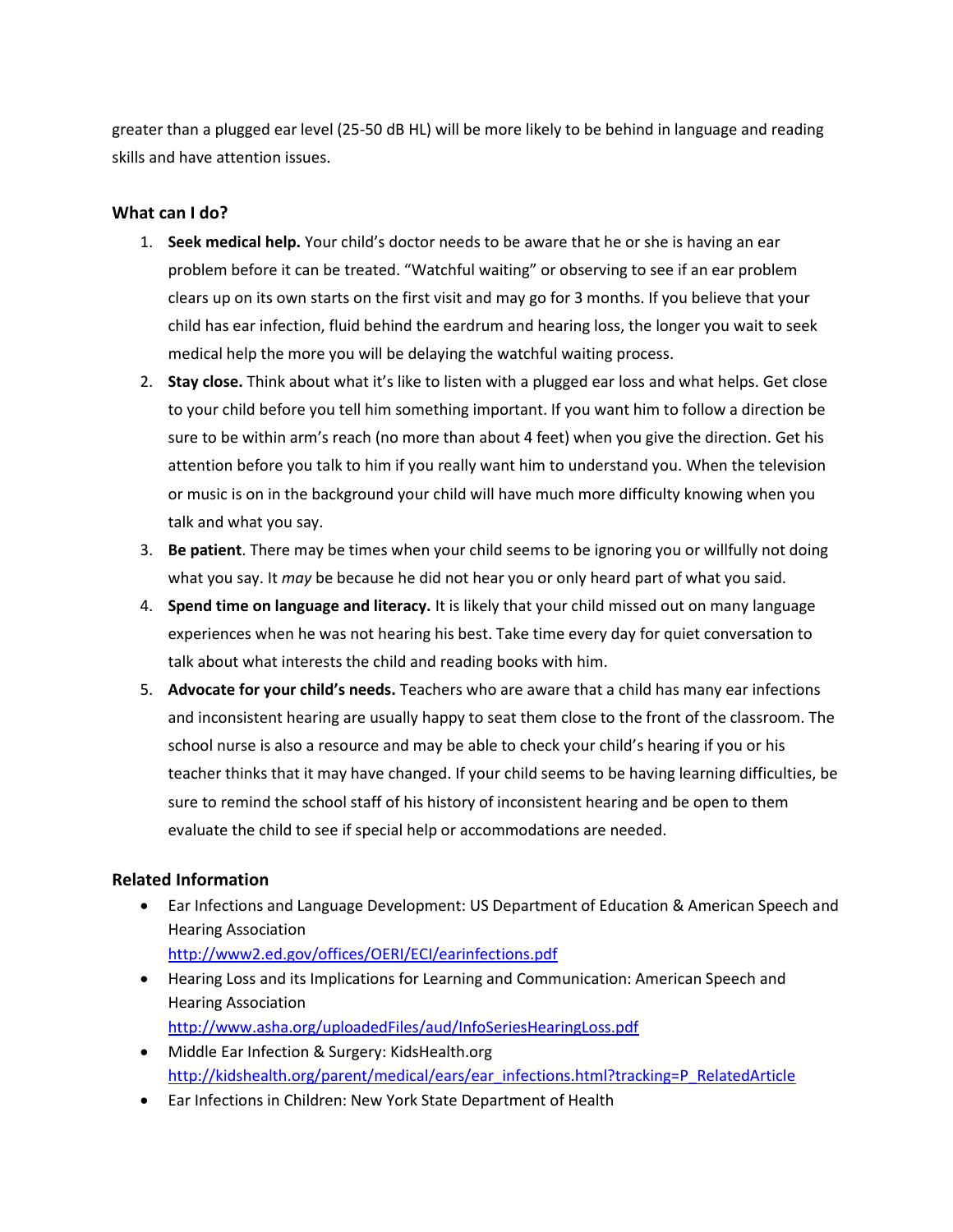greater than a plugged ear level (25-50 dB HL) will be more likely to be behind in language and reading skills and have attention issues.

### **What can I do?**

- 1. **Seek medical help.** Your child's doctor needs to be aware that he or she is having an ear problem before it can be treated. "Watchful waiting" or observing to see if an ear problem clears up on its own starts on the first visit and may go for 3 months. If you believe that your child has ear infection, fluid behind the eardrum and hearing loss, the longer you wait to seek medical help the more you will be delaying the watchful waiting process.
- 2. **Stay close.** Think about what it's like to listen with a plugged ear loss and what helps. Get close to your child before you tell him something important. If you want him to follow a direction be sure to be within arm's reach (no more than about 4 feet) when you give the direction. Get his attention before you talk to him if you really want him to understand you. When the television or music is on in the background your child will have much more difficulty knowing when you talk and what you say.
- 3. **Be patient**. There may be times when your child seems to be ignoring you or willfully not doing what you say. It *may* be because he did not hear you or only heard part of what you said.
- 4. **Spend time on language and literacy.** It is likely that your child missed out on many language experiences when he was not hearing his best. Take time every day for quiet conversation to talk about what interests the child and reading books with him.
- 5. **Advocate for your child's needs.** Teachers who are aware that a child has many ear infections and inconsistent hearing are usually happy to seat them close to the front of the classroom. The school nurse is also a resource and may be able to check your child's hearing if you or his teacher thinks that it may have changed. If your child seems to be having learning difficulties, be sure to remind the school staff of his history of inconsistent hearing and be open to them evaluate the child to see if special help or accommodations are needed.

## **Related Information**

- Ear Infections and Language Development: US Department of Education & American Speech and Hearing Association <http://www2.ed.gov/offices/OERI/ECI/earinfections.pdf>
- Hearing Loss and its Implications for Learning and Communication: American Speech and Hearing Association <http://www.asha.org/uploadedFiles/aud/InfoSeriesHearingLoss.pdf>
- Middle Ear Infection & Surgery: KidsHealth.org [http://kidshealth.org/parent/medical/ears/ear\\_infections.html?tracking=P\\_RelatedArticle](http://kidshealth.org/parent/medical/ears/ear_infections.html?tracking=P_RelatedArticle)
- Ear Infections in Children: New York State Department of Health